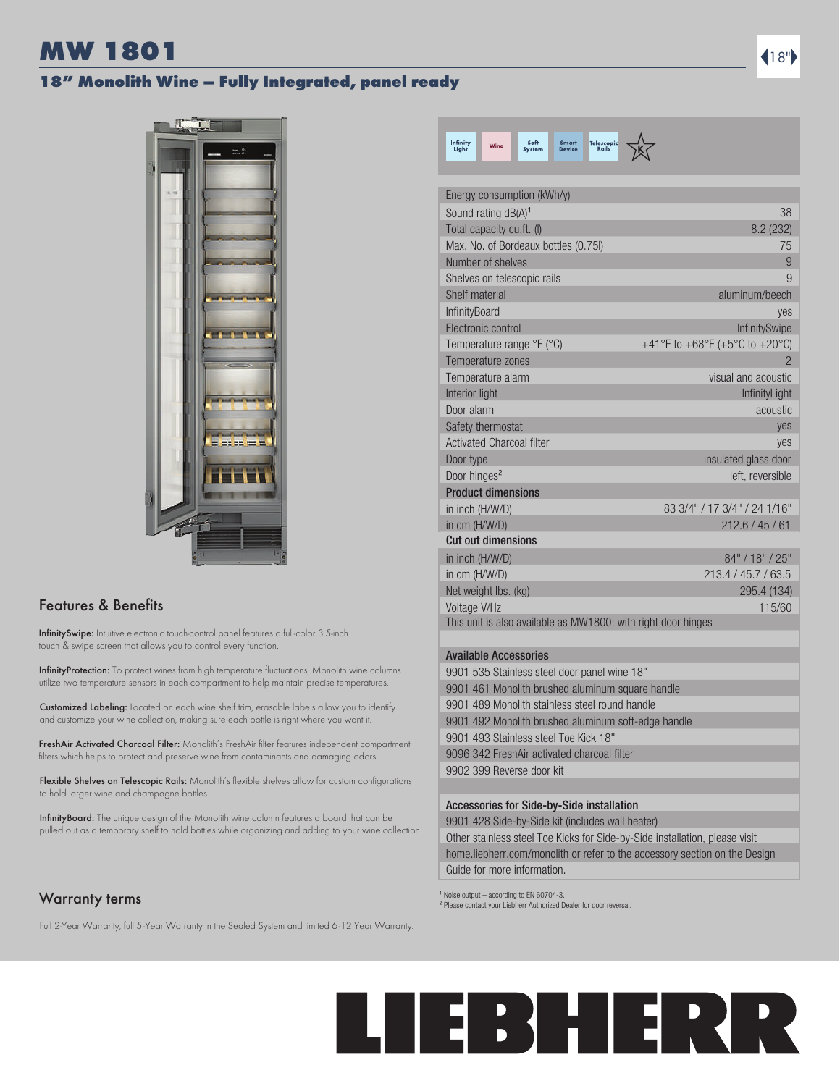# MW 1801  $\blacksquare$

# 18" Monolith Wine – Fully Integrated, panel ready



# Features & Benefits

InfinitySwipe: Intuitive electronic touch-control panel features a full-color 3.5-inch touch & swipe screen that allows you to control every function.

InfinityProtection: To protect wines from high temperature fluctuations, Monolith wine columns utilize two temperature sensors in each compartment to help maintain precise temperatures.

Customized Labeling: Located on each wine shelf trim, erasable labels allow you to identify and customize your wine collection, making sure each bottle is right where you want it.

FreshAir Activated Charcoal Filter: Monolith's FreshAir filter features independent compartment filters which helps to protect and preserve wine from contaminants and damaging odors.

Flexible Shelves on Telescopic Rails: Monolith's flexible shelves allow for custom configurations to hold larger wine and champagne bottles.

InfinityBoard: The unique design of the Monolith wine column features a board that can be pulled out as a temporary shelf to hold bottles while organizing and adding to your wine collection.

# Warranty terms

Full 2-Year Warranty, full 5-Year Warranty in the Sealed System and limited 6-12 Year Warranty.



| Energy consumption (kWh/y)                                    |                                |
|---------------------------------------------------------------|--------------------------------|
| Sound rating dB(A) <sup>1</sup>                               | 38                             |
| Total capacity cu.ft. (I)                                     | 8.2 (232)                      |
| Max. No. of Bordeaux bottles (0.75l)                          | 75                             |
| Number of shelves                                             | 9                              |
| Shelves on telescopic rails                                   | 9                              |
| Shelf material                                                | aluminum/beech                 |
| InfinityBoard                                                 | yes                            |
| Electronic control                                            | <b>InfinitySwipe</b>           |
| Temperature range °F (°C)                                     | +41°F to +68°F (+5°C to +20°C) |
| Temperature zones                                             | $\overline{2}$                 |
| Temperature alarm                                             | visual and acoustic            |
| Interior light                                                | InfinityLight                  |
| Door alarm                                                    | acoustic                       |
| Safety thermostat                                             | yes                            |
| <b>Activated Charcoal filter</b>                              | yes                            |
| Door type                                                     | insulated glass door           |
| Door hinges <sup>2</sup>                                      | left, reversible               |
| <b>Product dimensions</b>                                     |                                |
| in inch (H/W/D)                                               | 83 3/4" / 17 3/4" / 24 1/16"   |
| in cm (H/W/D)                                                 | 212.6 / 45 / 61                |
| <b>Cut out dimensions</b>                                     |                                |
| in inch (H/W/D)                                               | 84" / 18" / 25"                |
| in cm (H/W/D)                                                 | 213.4 / 45.7 / 63.5            |
| Net weight lbs. (kg)                                          | 295.4 (134)                    |
| Voltage V/Hz                                                  | 115/60                         |
| This unit is also available as MW1800: with right door hinges |                                |
|                                                               |                                |
| <b>Available Accessories</b>                                  |                                |
| $0004$ FOF $01-1-1-$<br>$-1.14 - 4.01$                        |                                |

| 111811819191000001100                        |
|----------------------------------------------|
| 9901 535 Stainless steel door panel wine 18" |

| 9901 461 Monolith brushed aluminum square handle    |
|-----------------------------------------------------|
| 9901 489 Monolith stainless steel round handle      |
| 9901 492 Monolith brushed aluminum soft-edge handle |
| 9901 493 Stainless steel Toe Kick 18"               |
| 9096 342 FreshAir activated charcoal filter         |
| 9902 399 Reverse door kit                           |
|                                                     |

### Accessories for Side-by-Side installation

9901 428 Side-by-Side kit (includes wall heater)

Other stainless steel Toe Kicks for Side-by-Side installation, please visit home.liebherr.com/monolith or refer to the accessory section on the Design Guide for more information.

 $1$  Noise output – according to EN 60704-3.

² Please contact your Liebherr Authorized Dealer for door reversal.